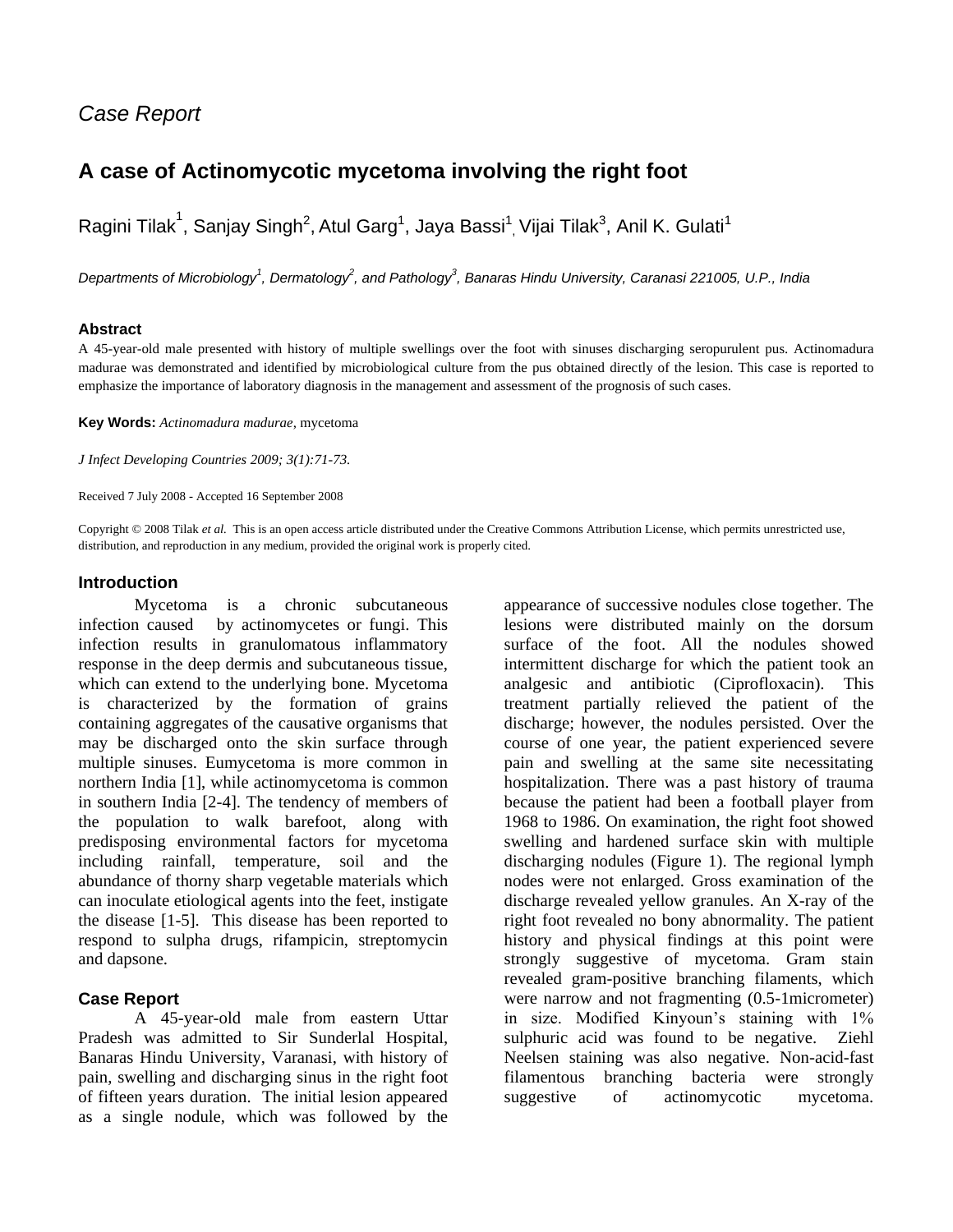## *Case Report*

# **A case of Actinomycotic mycetoma involving the right foot**

Ragini Tilak $^1$ , Sanjay Singh $^2$ , Atul Garg $^1$ , Jaya Bassi $^1_\cdot$  Vijai Tilak $^3$ , Anil K. Gulati $^1$ 

*Departments of Microbiology<sup>1</sup> , Dermatology<sup>2</sup> , and Pathology<sup>3</sup> , Banaras Hindu University, Caranasi 221005, U.P., India*

#### **Abstract**

A 45-year-old male presented with history of multiple swellings over the foot with sinuses discharging seropurulent pus. Actinomadura madurae was demonstrated and identified by microbiological culture from the pus obtained directly of the lesion. This case is reported to emphasize the importance of laboratory diagnosis in the management and assessment of the prognosis of such cases.

**Key Words:** *Actinomadura madurae*, mycetoma

*J Infect Developing Countries 2009; 3(1):71-73.*

Received 7 July 2008 - Accepted 16 September 2008

Copyright © 2008 Tilak *et al.* This is an open access article distributed under the Creative Commons Attribution License, which permits unrestricted use, distribution, and reproduction in any medium, provided the original work is properly cited.

### **Introduction**

Mycetoma is a chronic subcutaneous infection caused by actinomycetes or fungi. This infection results in granulomatous inflammatory response in the deep dermis and subcutaneous tissue, which can extend to the underlying bone. Mycetoma is characterized by the formation of grains containing aggregates of the causative organisms that may be discharged onto the skin surface through multiple sinuses. Eumycetoma is more common in northern India [1], while actinomycetoma is common in southern India [2-4]. The tendency of members of the population to walk barefoot, along with predisposing environmental factors for mycetoma including rainfall, temperature, soil and the abundance of thorny sharp vegetable materials which can inoculate etiological agents into the feet, instigate the disease [1-5]. This disease has been reported to respond to sulpha drugs, rifampicin, streptomycin and dapsone.

## **Case Report**

A 45-year-old male from eastern Uttar Pradesh was admitted to Sir Sunderlal Hospital, Banaras Hindu University, Varanasi, with history of pain, swelling and discharging sinus in the right foot of fifteen years duration. The initial lesion appeared as a single nodule, which was followed by the

appearance of successive nodules close together. The lesions were distributed mainly on the dorsum surface of the foot. All the nodules showed intermittent discharge for which the patient took an analgesic and antibiotic (Ciprofloxacin). This treatment partially relieved the patient of the discharge; however, the nodules persisted. Over the course of one year, the patient experienced severe pain and swelling at the same site necessitating hospitalization. There was a past history of trauma because the patient had been a football player from 1968 to 1986. On examination, the right foot showed swelling and hardened surface skin with multiple discharging nodules (Figure 1). The regional lymph nodes were not enlarged. Gross examination of the discharge revealed yellow granules. An X-ray of the right foot revealed no bony abnormality. The patient history and physical findings at this point were strongly suggestive of mycetoma. Gram stain revealed gram-positive branching filaments, which were narrow and not fragmenting (0.5-1micrometer) in size. Modified Kinyoun's staining with 1% sulphuric acid was found to be negative. Ziehl Neelsen staining was also negative. Non-acid-fast filamentous branching bacteria were strongly suggestive of actinomycotic mycetoma.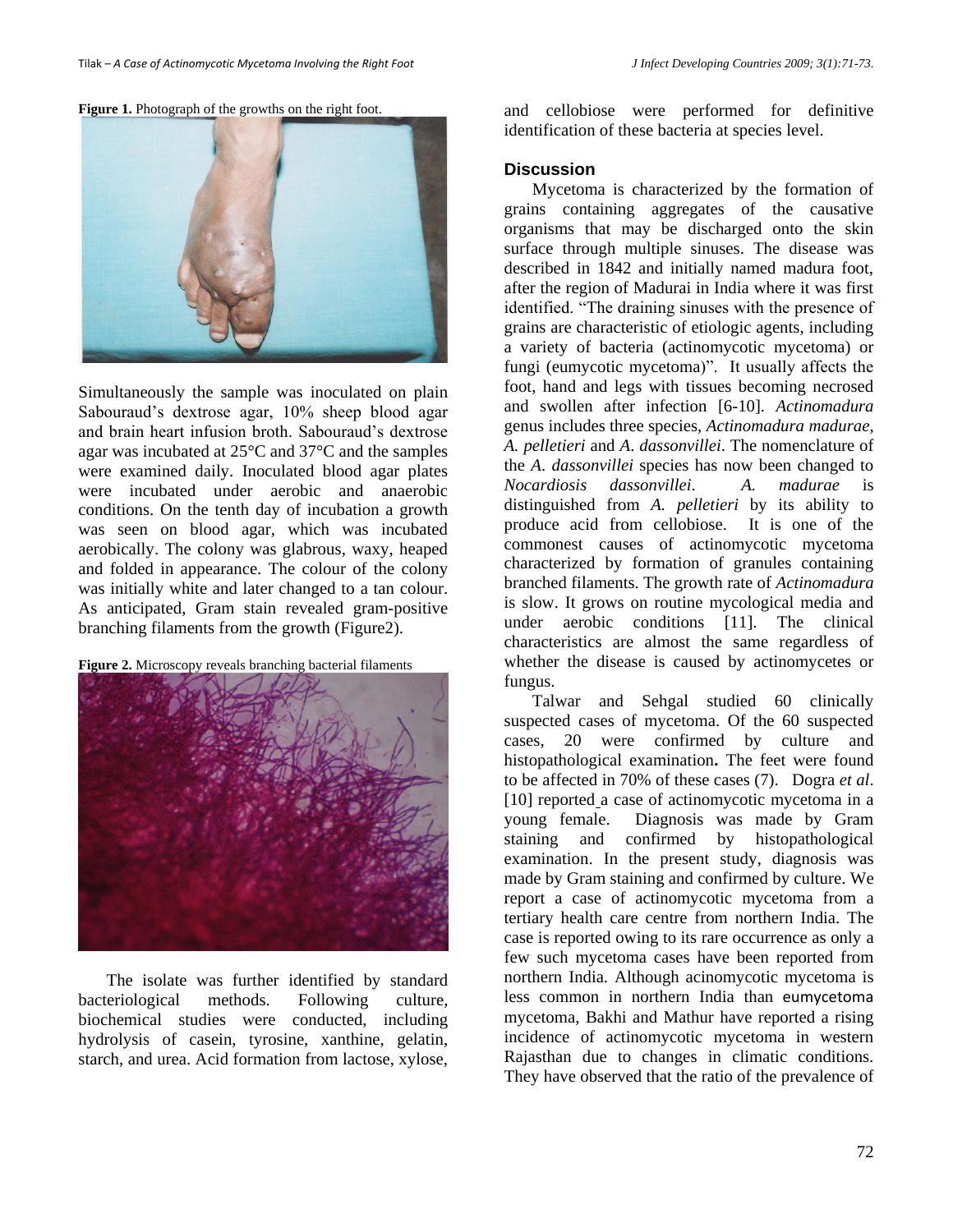#### Figure 1. Photograph of the growths on the right foot.



Simultaneously the sample was inoculated on plain Sabouraud's dextrose agar, 10% sheep blood agar and brain heart infusion broth. Sabouraud's dextrose agar was incubated at 25°C and 37°C and the samples were examined daily. Inoculated blood agar plates were incubated under aerobic and anaerobic conditions. On the tenth day of incubation a growth was seen on blood agar, which was incubated aerobically. The colony was glabrous, waxy, heaped and folded in appearance. The colour of the colony was initially white and later changed to a tan colour. As anticipated, Gram stain revealed gram-positive branching filaments from the growth (Figure2).





The isolate was further identified by standard bacteriological methods. Following culture, biochemical studies were conducted, including hydrolysis of casein, tyrosine, xanthine, gelatin, starch, and urea. Acid formation from lactose, xylose, and cellobiose were performed for definitive identification of these bacteria at species level.

#### **Discussion**

Mycetoma is characterized by the formation of grains containing aggregates of the causative organisms that may be discharged onto the skin surface through multiple sinuses. The disease was described in 1842 and initially named madura foot, after the region of Madurai in India where it was first identified. "The draining sinuses with the presence of grains are characteristic of etiologic agents, including a variety of bacteria (actinomycotic mycetoma) or fungi (eumycotic mycetoma)". It usually affects the foot, hand and legs with tissues becoming necrosed and swollen after infection [6-10]. *Actinomadura* genus includes three species, *Actinomadura madurae*, *A. pelletieri* and *A*. *dassonvillei*. The nomenclature of the *A*. *dassonvillei* species has now been changed to *Nocardiosis dassonvillei*. *A. madurae* is distinguished from *A. pelletieri* by its ability to produce acid from cellobiose. It is one of the commonest causes of actinomycotic mycetoma characterized by formation of granules containing branched filaments. The growth rate of *Actinomadura* is slow. It grows on routine mycological media and under aerobic conditions [11]. The clinical characteristics are almost the same regardless of whether the disease is caused by actinomycetes or fungus.

Talwar and Sehgal studied 60 clinically suspected cases of mycetoma. Of the 60 suspected cases, 20 were confirmed by culture and histopathological examination**.** The feet were found to be affected in 70% of these cases (7). Dogra *et al*. [10] reported a case of actinomycotic mycetoma in a young female. Diagnosis was made by Gram staining and confirmed by histopathological examination. In the present study, diagnosis was made by Gram staining and confirmed by culture. We report a case of actinomycotic mycetoma from a tertiary health care centre from northern India. The case is reported owing to its rare occurrence as only a few such mycetoma cases have been reported from northern India. Although acinomycotic mycetoma is less common in northern India than eumycetoma mycetoma, Bakhi and Mathur have reported a rising incidence of actinomycotic mycetoma in western Rajasthan due to changes in climatic conditions. They have observed that the ratio of the prevalence of